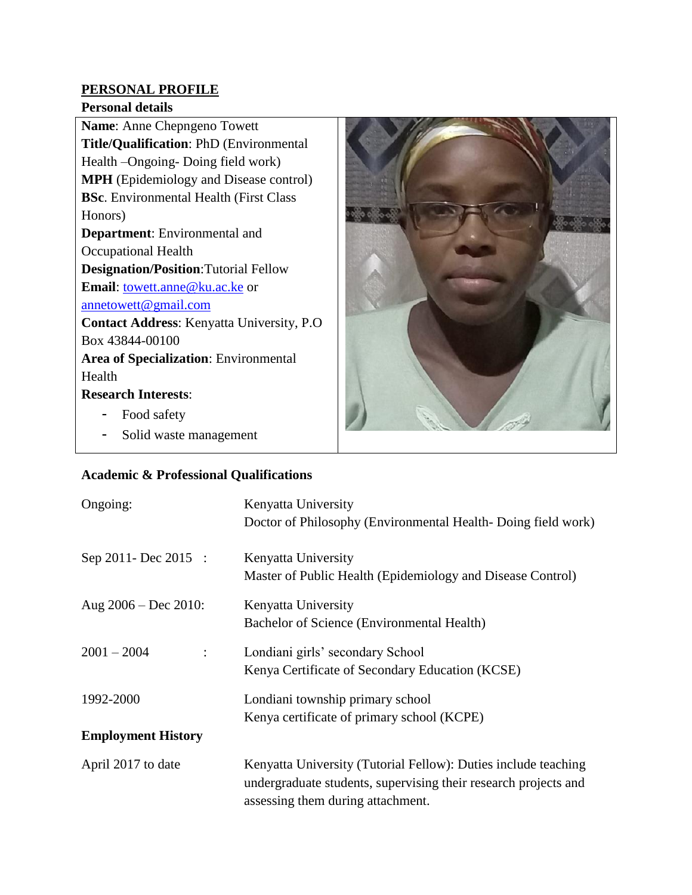# **PERSONAL PROFILE**

#### **Personal details**

**Name**: Anne Chepngeno Towett **Title/Qualification**: PhD (Environmental Health –Ongoing- Doing field work) **MPH** (Epidemiology and Disease control) **BSc**. Environmental Health (First Class Honors) **Department**: Environmental and Occupational Health **Designation/Position**:Tutorial Fellow **Email**: **towett.anne@ku.ac.ke** or [annetowett@gmail.com](mailto:annetowett@gmail.com) **Contact Address**: Kenyatta University, P.O Box 43844-00100 **Area of Specialization**: Environmental Health **Research Interests**: - Food safety

- Solid waste management

## **Academic & Professional Qualifications**

| Ongoing:                               | Kenyatta University<br>Doctor of Philosophy (Environmental Health-Doing field work)                                                                                    |
|----------------------------------------|------------------------------------------------------------------------------------------------------------------------------------------------------------------------|
| Sep 2011- Dec 2015 :                   | Kenyatta University<br>Master of Public Health (Epidemiology and Disease Control)                                                                                      |
| Aug $2006 - Dec 2010$ :                | Kenyatta University<br>Bachelor of Science (Environmental Health)                                                                                                      |
| $2001 - 2004$<br>$\ddot{\cdot}$        | Londiani girls' secondary School<br>Kenya Certificate of Secondary Education (KCSE)                                                                                    |
| 1992-2000<br><b>Employment History</b> | Londiani township primary school<br>Kenya certificate of primary school (KCPE)                                                                                         |
| April 2017 to date                     | Kenyatta University (Tutorial Fellow): Duties include teaching<br>undergraduate students, supervising their research projects and<br>assessing them during attachment. |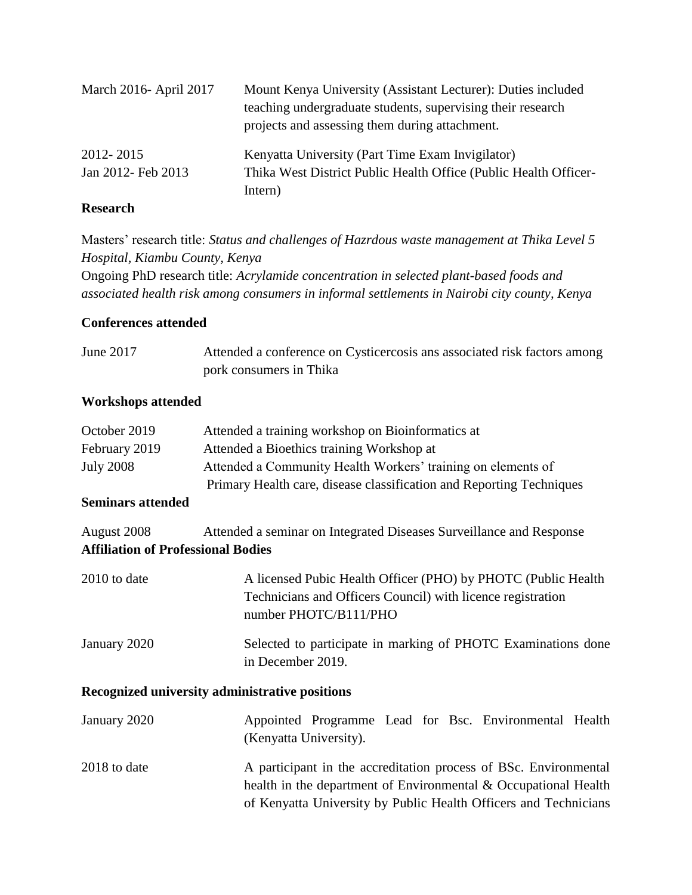| March 2016- April 2017          | Mount Kenya University (Assistant Lecturer): Duties included<br>teaching undergraduate students, supervising their research<br>projects and assessing them during attachment. |
|---------------------------------|-------------------------------------------------------------------------------------------------------------------------------------------------------------------------------|
| 2012-2015<br>Jan 2012- Feb 2013 | Kenyatta University (Part Time Exam Invigilator)<br>Thika West District Public Health Office (Public Health Officer-<br>Intern)                                               |

# **Research**

Masters' research title: *Status and challenges of Hazrdous waste management at Thika Level 5 Hospital, Kiambu County, Kenya* Ongoing PhD research title: *Acrylamide concentration in selected plant-based foods and associated health risk among consumers in informal settlements in Nairobi city county, Kenya*

## **Conferences attended**

June 2017 Attended a conference on Cysticercosis ans associated risk factors among pork consumers in Thika

## **Workshops attended**

| October 2019     | Attended a training workshop on Bioinformatics at                    |
|------------------|----------------------------------------------------------------------|
| February 2019    | Attended a Bioethics training Workshop at                            |
| <b>July 2008</b> | Attended a Community Health Workers' training on elements of         |
|                  | Primary Health care, disease classification and Reporting Techniques |

## **Seminars attended**

| August 2008                               | Attended a seminar on Integrated Diseases Surveillance and Response |  |  |  |  |  |
|-------------------------------------------|---------------------------------------------------------------------|--|--|--|--|--|
| <b>Affiliation of Professional Bodies</b> |                                                                     |  |  |  |  |  |

| $2010$ to date | A licensed Pubic Health Officer (PHO) by PHOTC (Public Health<br>Technicians and Officers Council) with licence registration |
|----------------|------------------------------------------------------------------------------------------------------------------------------|
|                | number PHOTC/B111/PHO                                                                                                        |
| January 2020   | Selected to participate in marking of PHOTC Examinations done<br>in December 2019.                                           |

## **Recognized university administrative positions**

| January 2020   | (Kenyatta University).                                           |  |  |  |  | Appointed Programme Lead for Bsc. Environmental Health |  |
|----------------|------------------------------------------------------------------|--|--|--|--|--------------------------------------------------------|--|
| $2018$ to date | A participant in the accreditation process of BSc. Environmental |  |  |  |  |                                                        |  |
|                | health in the department of Environmental & Occupational Health  |  |  |  |  |                                                        |  |
|                | of Kenyatta University by Public Health Officers and Technicians |  |  |  |  |                                                        |  |